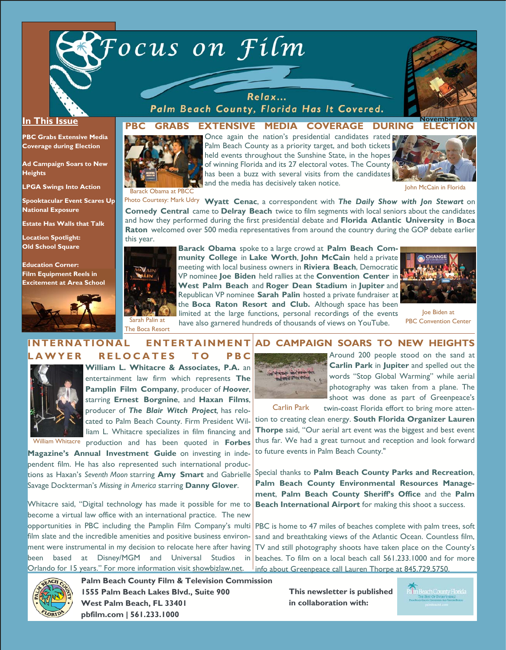



### **In This Issue**

**PBC Grabs Extensive Media Coverage during Election** 

**Ad Campaign Soars to New Heights** 

**LPGA Swings Into Action** 

**Spooktacular Event Scares Up National Exposure** 

**Estate Has Walls that Talk** 

**Location Spotlight: Old School Square** 

**Education Corner: Film Equipment Reels in Excitement at Area School** 



Relax... Palm Beach County, Florida Has It Covered.

## **PBC GRABS EXTENSIVE MEDIA COVERAGE DURING ELECTION**

Once again the nation's presidential candidates rated



Palm Beach County as a priority target, and both tickets held events throughout the Sunshine State, in the hopes of winning Florida and its 27 electoral votes. The County has been a buzz with several visits from the candidates and the media has decisively taken notice.



John McCain in Florida

Photo Courtesy: Mark Udry Wyatt Cenac, a correspondent with *The Daily Show with Jon Stewart* on **Comedy Central** came to **Delray Beach** twice to film segments with local seniors about the candidates and how they performed during the first presidential debate and **Florida Atlantic University** in **Boca Raton** welcomed over 500 media representatives from around the country during the GOP debate earlier this year.



The Boca Resort

**Barack Obama** spoke to a large crowd at **Palm Beach Community College** in **Lake Worth**, **John McCain** held a private meeting with local business owners in **Riviera Beach**, Democratic VP nominee **Joe Biden** held rallies at the **Convention Center** in **West Palm Beach** and **Roger Dean Stadium** in **Jupiter** and Republican VP nominee **Sarah Palin** hosted a private fundraiser at the **Boca Raton Resort and Club.** Although space has been limited at the large functions, personal recordings of the events

have also garnered hundreds of thousands of views on YouTube.



Joe Biden at PBC Convention Center

#### **AD CAMPAIGN SOARS TO NEW HEIGHTS**  Around 200 people stood on the sand at **INTERNATIONAL ENTERTAINMENT LAWYER RELOCATES TO PBC**



**William L. Whitacre & Associates, P.A.** an entertainment law firm which represents **The Pamplin Film Company**, producer of *Hoover*, starring **Ernest Borgnine**, and **Haxan Films**, producer of *The Blair Witch Project,* has relocated to Palm Beach County. Firm President William L. Whitacre specializes in film financing and

**William Whitacre production and has been quoted in Forbes** 

**Magazine's Annual Investment Guide** on investing in independent film. He has also represented such international productions as Haxan's *Seventh Moon* starring **Amy Smart** and Gabrielle Savage Dockterman's *Missing in America* starring **Danny Glover**.

Whitacre said, "Digital technology has made it possible for me to become a virtual law office with an international practice. The new opportunities in PBC including the Pamplin Film Company's multi film slate and the incredible amenities and positive business environment were instrumental in my decision to relocate here after having been based at Disney/MGM and Universal Studios Orlando for 15 years." For more information visit showbizlaw.net.



**Carlin Park** in **Jupiter** and spelled out the words "Stop Global Warming" while aerial photography was taken from a plane. The shoot was done as part of Greenpeace's twin-coast Florida effort to bring more atten-

Carlin Park

tion to creating clean energy. **South Florida Organizer Lauren Thorpe** said, "Our aerial art event was the biggest and best event thus far. We had a great turnout and reception and look forward to future events in Palm Beach County."

Special thanks to **Palm Beach County Parks and Recreation**, **Palm Beach County Environmental Resources Management**, **Palm Beach County Sheriff's Office** and the **Palm Beach International Airport** for making this shoot a success.

PBC is home to 47 miles of beaches complete with palm trees, soft sand and breathtaking views of the Atlantic Ocean. Countless film, TV and still photography shoots have taken place on the County's beaches. To film on a local beach call 561.233.1000 and for more info about Greenpeace call Lauren Thorpe at 845.729.5750.



**Palm Beach County Film & Television Commission 1555 Palm Beach Lakes Blvd., Suite 900 West Palm Beach, FL 33401 pbfilm.com | 561.233.1000** 

**This newsletter is published in collaboration with:**

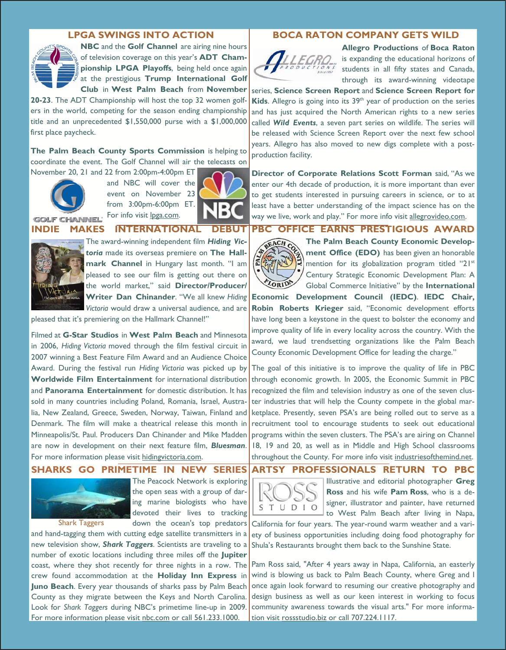**NBC** and the **Golf Channel** are airing nine hours of television coverage on this year's **ADT Championship LPGA Playoffs**, being held once again at the prestigious **Trump International Golf Club** in **West Palm Beach** from **November** 

**20-23**. The ADT Championship will host the top 32 women golfers in the world, competing for the season ending championship title and an unprecedented \$1,550,000 purse with a \$1,000,000 first place paycheck.

**The Palm Beach County Sports Commission** is helping to coordinate the event. The Golf Channel will air the telecasts on



November 20, 21 and 22 from 2:00pm-4:00pm ET and NBC will cover the event on November 23 from 3:00pm-6:00pm ET. For info visit lpga.com.



**INDIE MAKES INTERNATIONAL DEBUT** 



The award-winning independent film *Hiding Victoria* made its overseas premiere on **The Hallmark Channel** in Hungary last month. "I am pleased to see our film is getting out there on the world market," said **Director/Producer/ Writer Dan Chinander**. "We all knew *Hiding Victoria* would draw a universal audience, and are

pleased that it's premiering on the Hallmark Channel!"

Filmed at **G-Star Studios** in **West Palm Beach** and Minnesota in 2006, *Hiding Victoria* moved through the film festival circuit in 2007 winning a Best Feature Film Award and an Audience Choice Award. During the festival run *Hiding Victoria* was picked up by **Worldwide Film Entertainment** for international distribution and **Panorama Entertainment** for domestic distribution. It has sold in many countries including Poland, Romania, Israel, Australia, New Zealand, Greece, Sweden, Norway, Taiwan, Finland and Denmark. The film will make a theatrical release this month in Minneapolis/St. Paul. Producers Dan Chinander and Mike Madden are now in development on their next feature film, *Bluesman*. For more information please visit hidingvictoria.com.

## **SHARKS GO PRIMETIME IN NEW SERIES**



Shark Taggers

The Peacock Network is exploring the open seas with a group of daring marine biologists who have devoted their lives to tracking down the ocean's top predators

and hand-tagging them with cutting edge satellite transmitters in a new television show, *Shark Taggers*. Scientists are traveling to a number of exotic locations including three miles off the **Jupiter**  coast, where they shot recently for three nights in a row. The crew found accommodation at the **Holiday Inn Express** in **Juno Beach**. Every year thousands of sharks pass by Palm Beach County as they migrate between the Keys and North Carolina. Look for *Shark Taggers* during NBC's primetime line-up in 2009. For more information please visit nbc.com or call 561.233.1000.

## **LPGA SWINGS INTO ACTION BOCA RATON COMPANY GETS WILD**



**Allegro Productions** of **Boca Raton**  is expanding the educational horizons of students in all fifty states and Canada, through its award-winning videotape

series, **Science Screen Report** and **Science Screen Report for Kids.** Allegro is going into its 39<sup>th</sup> year of production on the series and has just acquired the North American rights to a new series called *Wild Events*, a seven part series on wildlife. The series will be released with Science Screen Report over the next few school years. Allegro has also moved to new digs complete with a postproduction facility.

**Director of Corporate Relations Scott Forman** said, "As we enter our 4th decade of production, it is more important than ever to get students interested in pursuing careers in science, or to at least have a better understanding of the impact science has on the way we live, work and play." For more info visit <u>allegrovideo.com</u>.

## **PBC OFFICE EARNS PRESTIGIOUS AWARD**



**The Palm Beach County Economic Development Office (EDO)** has been given an honorable mention for its globalization program titled "21<sup>st</sup> Century Strategic Economic Development Plan: A Global Commerce Initiative" by the **International** 

**Economic Development Council (IEDC)**. **IEDC Chair, Robin Roberts Krieger** said, "Economic development efforts have long been a keystone in the quest to bolster the economy and improve quality of life in every locality across the country. With the award, we laud trendsetting organizations like the Palm Beach County Economic Development Office for leading the charge."

The goal of this initiative is to improve the quality of life in PBC through economic growth. In 2005, the Economic Summit in PBC recognized the film and television industry as one of the seven cluster industries that will help the County compete in the global marketplace. Presently, seven PSA's are being rolled out to serve as a recruitment tool to encourage students to seek out educational programs within the seven clusters. The PSA's are airing on Channel 18, 19 and 20, as well as in Middle and High School classrooms throughout the County. For more info visit industriesofthemind.net.

**ARTSY PROFESSIONALS RETURN TO PBC** 



Illustrative and editorial photographer **Greg Ross** and his wife **Pam Ross**, who is a designer, illustrator and painter, have returned to West Palm Beach after living in Napa,

California for four years. The year-round warm weather and a variety of business opportunities including doing food photography for Shula's Restaurants brought them back to the Sunshine State.

Pam Ross said, "After 4 years away in Napa, California, an easterly wind is blowing us back to Palm Beach County, where Greg and I once again look forward to resuming our creative photography and design business as well as our keen interest in working to focus community awareness towards the visual arts." For more information visit rossstudio.biz or call 707.224.1117.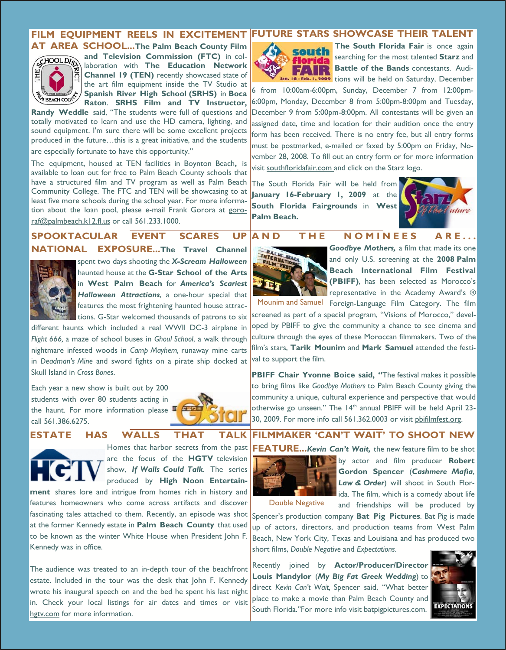# FILM EQUIPMENT REELS IN EXCITEMENT FUTURE STARS SHOWCASE THEIR TALENT



**AT AREA SCHOOL...The Palm Beach County Film and Television Commission (FTC)** in collaboration with **The Education Network Channel 19 (TEN)** recently showcased state of the art film equipment inside the TV Studio at **Spanish River High School (SRHS)** in **Boca Raton**. **SRHS Film and TV Instructor,** 

**Randy Weddle** said, "The students were full of questions and totally motivated to learn and use the HD camera, lighting, and sound equipment. I'm sure there will be some excellent projects produced in the future…this is a great initiative, and the students

are especially fortunate to have this opportunity."

The equipment, housed at TEN facilities in Boynton Beach**,** is available to loan out for free to Palm Beach County schools that have a structured film and TV program as well as Palm Beach Community College. The FTC and TEN will be showcasing to at least five more schools during the school year. For more information about the loan pool, please e-mail Frank Gorora at gororaf@palmbeach.k12.fl.us or call 561.233.1000.

**SPOOKTACULAR EVENT SCARES UP NATIONAL EXPOSURE...The Travel Channel** 



spent two days shooting the *X-Scream Halloween* haunted house at the **G-Star School of the Arts** in **West Palm Beach** for *America's Scariest Halloween Attractions*, a one-hour special that features the most frightening haunted house attractions. G-Star welcomed thousands of patrons to six

different haunts which included a real WWII DC-3 airplane in *Flight 666,* a maze of school buses in *Ghoul School*, a walk through nightmare infested woods in *Camp Mayhem,* runaway mine carts in *Deadman's Mine* and sword fights on a pirate ship docked at Skull Island in *Cross Bones*.

Each year a new show is built out by 200 students with over 80 students acting in the haunt. For more information please  $\blacksquare$ call 561.386.6275.



#### **ESTATE HAS WALLS THAT TALK**



Homes that harbor secrets from the past are the focus of the **HGTV** television show, *If Walls Could Talk*. The series produced by **High Noon Entertain-**

**ment** shares lore and intrigue from homes rich in history and features homeowners who come across artifacts and discover fascinating tales attached to them. Recently, an episode was shot at the former Kennedy estate in **Palm Beach County** that used to be known as the winter White House when President John F. Kennedy was in office.

The audience was treated to an in-depth tour of the beachfront estate. Included in the tour was the desk that John F. Kennedy wrote his inaugural speech on and the bed he spent his last night in. Check your local listings for air dates and times or visit hgtv.com for more information.

## south flori EENTR

**The South Florida Fair** is once again searching for the most talented **Starz** and **Battle of the Bands** contestants. Audi-Feb. 1, 2009 tions will be held on Saturday, December

6 from 10:00am-6:00pm, Sunday, December 7 from 12:00pm-6:00pm, Monday, December 8 from 5:00pm-8:00pm and Tuesday, December 9 from 5:00pm-8:00pm. All contestants will be given an assigned date, time and location for their audition once the entry form has been received. There is no entry fee, but all entry forms must be postmarked, e-mailed or faxed by 5:00pm on Friday, November 28, 2008. To fill out an entry form or for more information visit southfloridafair.com and click on the Starz logo.

The South Florida Fair will be held from **January 16-February 1, 2009** at the **South Florida Fairgrounds** in **West Palm Beach.** 



## **AND THE NOMINEES ARE...**



*Goodbye Mothers,* a film that made its one and only U.S. screening at the **2008 Palm Beach International Film Festival (PBIFF)**, has been selected as Morocco's representative in the Academy Award's ®

Mounim and Samuel Foreign-Language Film Category. The film screened as part of a special program, "Visions of Morocco," developed by PBIFF to give the community a chance to see cinema and culture through the eyes of these Moroccan filmmakers. Two of the film's stars, **Tarik Mounim** and **Mark Samuel** attended the festival to support the film.

**PBIFF Chair Yvonne Boice said, "**The festival makes it possible to bring films like *Goodbye Mothers* to Palm Beach County giving the community a unique, cultural experience and perspective that would otherwise go unseen." The 14<sup>th</sup> annual PBIFF will be held April 23-30, 2009. For more info call 561.362.0003 or visit pbifilmfest.org.

## **FILMMAKER 'CAN'T WAIT' TO SHOOT NEW**



by actor and film producer **Robert Gordon Spencer** (*Cashmere Mafia*, *Law & Order*) will shoot in South Florida. The film, which is a comedy about life and friendships will be produced by

Double Negative

Spencer's production company **Bat Pig Pictures**. Bat Pig is made up of actors, directors, and production teams from West Palm Beach, New York City, Texas and Louisiana and has produced two short films, *Double Negative* and *Expectations*.

Recently joined by **Actor/Producer/Director Louis Mandylor** (*My Big Fat Greek Wedding*) to direct *Kevin Can't Wait,* Spencer said, "What better place to make a movie than Palm Beach County and South Florida."For more info visit batpigpictures.com.